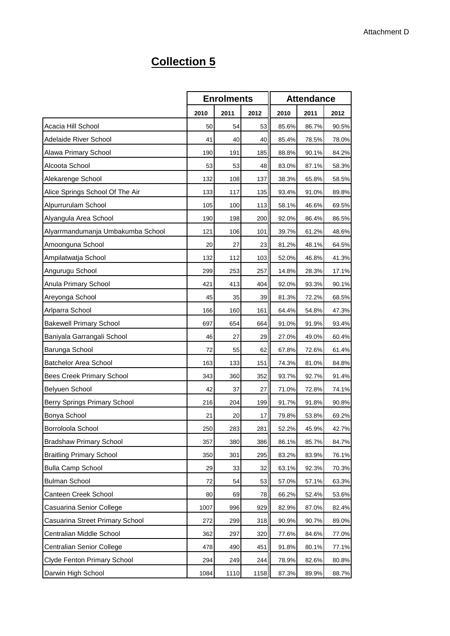## **Collection 5**

|                                   | <b>Enrolments</b> |      | <b>Attendance</b> |       |       |       |
|-----------------------------------|-------------------|------|-------------------|-------|-------|-------|
|                                   | 2010              | 2011 | 2012              | 2010  | 2011  | 2012  |
| Acacia Hill School                | 50                | 54   | 53                | 85.6% | 86.7% | 90.5% |
| Adelaide River School             | 41                | 40   | 40                | 85.4% | 78.5% | 78.0% |
| Alawa Primary School              | 190               | 191  | 185               | 88.8% | 90.1% | 84.2% |
| Alcoota School                    | 53                | 53   | 48                | 83.0% | 87.1% | 58.3% |
| Alekarenge School                 | 132               | 108  | 137               | 38.3% | 65.8% | 58.5% |
| Alice Springs School Of The Air   | 133               | 117  | 135               | 93.4% | 91.0% | 89.8% |
| Alpurrurulam School               | 105               | 100  | 113               | 58.1% | 46.6% | 69.5% |
| Alyangula Area School             | 190               | 198  | 200               | 92.0% | 86.4% | 86.5% |
| Alyarrmandumanja Umbakumba School | 121               | 106  | 101               | 39.7% | 61.2% | 48.6% |
| Amoonguna School                  | 20                | 27   | 23                | 81.2% | 48.1% | 64.5% |
| Ampilatwatja School               | 132               | 112  | 103               | 52.0% | 46.8% | 41.3% |
| Angurugu School                   | 299               | 253  | 257               | 14.8% | 28.3% | 17.1% |
| Anula Primary School              | 421               | 413  | 404               | 92.0% | 93.3% | 90.1% |
| Areyonga School                   | 45                | 35   | 39                | 81.3% | 72.2% | 68.5% |
| Arlparra School                   | 166               | 160  | 161               | 64.4% | 54.8% | 47.3% |
| <b>Bakewell Primary School</b>    | 697               | 654  | 664               | 91.0% | 91.9% | 93.4% |
| Baniyala Garrangali School        | 46                | 27   | 29                | 27.0% | 49.0% | 60.4% |
| Barunga School                    | 72                | 55   | 62                | 67.8% | 72.6% | 61.4% |
| <b>Batchelor Area School</b>      | 163               | 133  | 151               | 74.3% | 81.0% | 84.8% |
| <b>Bees Creek Primary School</b>  | 343               | 360  | 352               | 93.7% | 92.7% | 91.4% |
| Belyuen School                    | 42                | 37   | 27                | 71.0% | 72.8% | 74.1% |
| Berry Springs Primary School      | 216               | 204  | 199               | 91.7% | 91.8% | 90.8% |
| Bonya School                      | 21                | 20   | 17                | 79.8% | 53.8% | 69.2% |
| Borroloola School                 | 250               | 283  | 281               | 52.2% | 45.9% | 42.7% |
| <b>Bradshaw Primary School</b>    | 357               | 380  | 386               | 86.1% | 85.7% | 84.7% |
| <b>Braitling Primary School</b>   | 350               | 301  | 295               | 83.2% | 83.9% | 76.1% |
| <b>Bulla Camp School</b>          | 29                | 33   | 32                | 63.1% | 92.3% | 70.3% |
| <b>Bulman School</b>              | 72                | 54   | 53                | 57.0% | 57.1% | 63.3% |
| Canteen Creek School              | 80                | 69   | 78                | 66.2% | 52.4% | 53.6% |
| Casuarina Senior College          | 1007              | 996  | 929               | 82.9% | 87.0% | 82.4% |
| Casuarina Street Primary School   | 272               | 299  | 318               | 90.9% | 90.7% | 89.0% |
| Centralian Middle School          | 362               | 297  | 320               | 77.6% | 84.6% | 77.0% |
| Centralian Senior College         | 478               | 490  | 451               | 91.8% | 80.1% | 77.1% |
| Clyde Fenton Primary School       | 294               | 249  | 244               | 78.9% | 82.6% | 80.8% |
| Darwin High School                | 1084              | 1110 | 1158              | 87.3% | 89.9% | 88.7% |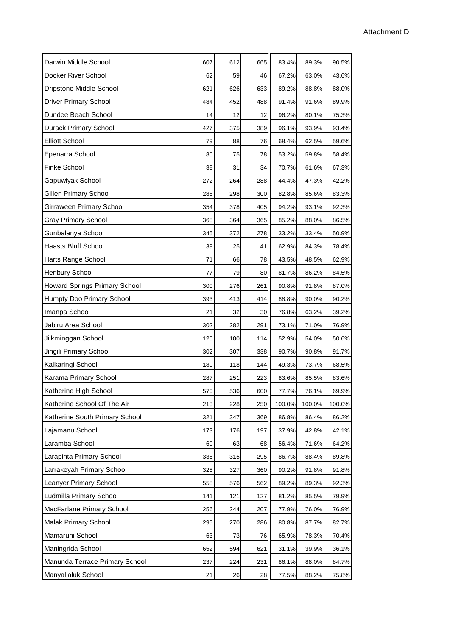| Darwin Middle School                 | 607 | 612 | 665 | 83.4%  | 89.3%  | 90.5%  |  |
|--------------------------------------|-----|-----|-----|--------|--------|--------|--|
| Docker River School                  | 62  | 59  | 46  | 67.2%  | 63.0%  | 43.6%  |  |
| Dripstone Middle School              | 621 | 626 | 633 | 89.2%  | 88.8%  | 88.0%  |  |
| <b>Driver Primary School</b>         | 484 | 452 | 488 | 91.4%  | 91.6%  | 89.9%  |  |
| Dundee Beach School                  | 14  | 12  | 12  | 96.2%  | 80.1%  | 75.3%  |  |
| Durack Primary School                | 427 | 375 | 389 | 96.1%  | 93.9%  | 93.4%  |  |
| <b>Elliott School</b>                | 79  | 88  | 76  | 68.4%  | 62.5%  | 59.6%  |  |
| Epenarra School                      | 80  | 75  | 78  | 53.2%  | 59.8%  | 58.4%  |  |
| <b>Finke School</b>                  | 38  | 31  | 34  | 70.7%  | 61.6%  | 67.3%  |  |
| Gapuwiyak School                     | 272 | 264 | 288 | 44.4%  | 47.3%  | 42.2%  |  |
| Gillen Primary School                | 286 | 298 | 300 | 82.8%  | 85.6%  | 83.3%  |  |
| Girraween Primary School             | 354 | 378 | 405 | 94.2%  | 93.1%  | 92.3%  |  |
| <b>Gray Primary School</b>           | 368 | 364 | 365 | 85.2%  | 88.0%  | 86.5%  |  |
| Gunbalanya School                    | 345 | 372 | 278 | 33.2%  | 33.4%  | 50.9%  |  |
| <b>Haasts Bluff School</b>           | 39  | 25  | 41  | 62.9%  | 84.3%  | 78.4%  |  |
| Harts Range School                   | 71  | 66  | 78  | 43.5%  | 48.5%  | 62.9%  |  |
| <b>Henbury School</b>                | 77  | 79  | 80  | 81.7%  | 86.2%  | 84.5%  |  |
| <b>Howard Springs Primary School</b> | 300 | 276 | 261 | 90.8%  | 91.8%  | 87.0%  |  |
| Humpty Doo Primary School            | 393 | 413 | 414 | 88.8%  | 90.0%  | 90.2%  |  |
| Imanpa School                        | 21  | 32  | 30  | 76.8%  | 63.2%  | 39.2%  |  |
| Jabiru Area School                   | 302 | 282 | 291 | 73.1%  | 71.0%  | 76.9%  |  |
| Jilkminggan School                   | 120 | 100 | 114 | 52.9%  | 54.0%  | 50.6%  |  |
| Jingili Primary School               | 302 | 307 | 338 | 90.7%  | 90.8%  | 91.7%  |  |
| Kalkaringi School                    | 180 | 118 | 144 | 49.3%  | 73.7%  | 68.5%  |  |
| Karama Primary School                | 287 | 251 | 223 | 83.6%  | 85.5%  | 83.6%  |  |
| Katherine High School                | 570 | 536 | 600 | 77.7%  | 76.1%  | 69.9%  |  |
| Katherine School Of The Air          | 213 | 228 | 250 | 100.0% | 100.0% | 100.0% |  |
| Katherine South Primary School       | 321 | 347 | 369 | 86.8%  | 86.4%  | 86.2%  |  |
| Lajamanu School                      | 173 | 176 | 197 | 37.9%  | 42.8%  | 42.1%  |  |
| Laramba School                       | 60  | 63  | 68  | 56.4%  | 71.6%  | 64.2%  |  |
| Larapinta Primary School             | 336 | 315 | 295 | 86.7%  | 88.4%  | 89.8%  |  |
| Larrakeyah Primary School            | 328 | 327 | 360 | 90.2%  | 91.8%  | 91.8%  |  |
| Leanyer Primary School               | 558 | 576 | 562 | 89.2%  | 89.3%  | 92.3%  |  |
| Ludmilla Primary School              | 141 | 121 | 127 | 81.2%  | 85.5%  | 79.9%  |  |
| MacFarlane Primary School            | 256 | 244 | 207 | 77.9%  | 76.0%  | 76.9%  |  |
| <b>Malak Primary School</b>          | 295 | 270 | 286 | 80.8%  | 87.7%  | 82.7%  |  |
| Mamaruni School                      | 63  | 73  | 76  | 65.9%  | 78.3%  | 70.4%  |  |
| Maningrida School                    | 652 | 594 | 621 | 31.1%  | 39.9%  | 36.1%  |  |
| Manunda Terrace Primary School       | 237 | 224 | 231 | 86.1%  | 88.0%  | 84.7%  |  |
| Manyallaluk School                   | 21  | 26  | 28  | 77.5%  | 88.2%  | 75.8%  |  |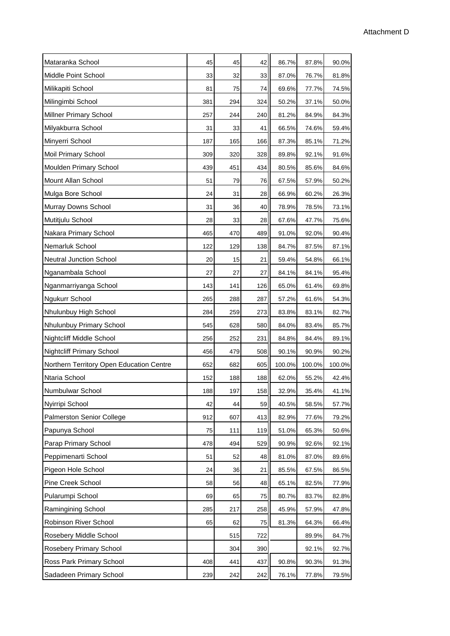| Mataranka School                         | 45  | 45  | 42  | 86.7%  | 87.8%  | 90.0%  |
|------------------------------------------|-----|-----|-----|--------|--------|--------|
| Middle Point School                      | 33  | 32  | 33  | 87.0%  | 76.7%  | 81.8%  |
| Milikapiti School                        | 81  | 75  | 74  | 69.6%  | 77.7%  | 74.5%  |
| Milingimbi School                        | 381 | 294 | 324 | 50.2%  | 37.1%  | 50.0%  |
| <b>Millner Primary School</b>            | 257 | 244 | 240 | 81.2%  | 84.9%  | 84.3%  |
| Milyakburra School                       | 31  | 33  | 41  | 66.5%  | 74.6%  | 59.4%  |
| Minyerri School                          | 187 | 165 | 166 | 87.3%  | 85.1%  | 71.2%  |
| <b>Moil Primary School</b>               | 309 | 320 | 328 | 89.8%  | 92.1%  | 91.6%  |
| Moulden Primary School                   | 439 | 451 | 434 | 80.5%  | 85.6%  | 84.6%  |
| Mount Allan School                       | 51  | 79  | 76  | 67.5%  | 57.9%  | 50.2%  |
| Mulga Bore School                        | 24  | 31  | 28  | 66.9%  | 60.2%  | 26.3%  |
| Murray Downs School                      | 31  | 36  | 40  | 78.9%  | 78.5%  | 73.1%  |
| Mutitjulu School                         | 28  | 33  | 28  | 67.6%  | 47.7%  | 75.6%  |
| Nakara Primary School                    | 465 | 470 | 489 | 91.0%  | 92.0%  | 90.4%  |
| Nemarluk School                          | 122 | 129 | 138 | 84.7%  | 87.5%  | 87.1%  |
| <b>Neutral Junction School</b>           | 20  | 15  | 21  | 59.4%  | 54.8%  | 66.1%  |
| Nganambala School                        | 27  | 27  | 27  | 84.1%  | 84.1%  | 95.4%  |
| Nganmarriyanga School                    | 143 | 141 | 126 | 65.0%  | 61.4%  | 69.8%  |
| Ngukurr School                           | 265 | 288 | 287 | 57.2%  | 61.6%  | 54.3%  |
| Nhulunbuy High School                    | 284 | 259 | 273 | 83.8%  | 83.1%  | 82.7%  |
| Nhulunbuy Primary School                 | 545 | 628 | 580 | 84.0%  | 83.4%  | 85.7%  |
| Nightcliff Middle School                 | 256 | 252 | 231 | 84.8%  | 84.4%  | 89.1%  |
| <b>Nightcliff Primary School</b>         | 456 | 479 | 508 | 90.1%  | 90.9%  | 90.2%  |
| Northern Territory Open Education Centre | 652 | 682 | 605 | 100.0% | 100.0% | 100.0% |
| Ntaria School                            | 152 | 188 | 188 | 62.0%  | 55.2%  | 42.4%  |
| Numbulwar School                         | 188 | 197 | 158 | 32.9%  | 35.4%  | 41.1%  |
| Nyirripi School                          | 42  | 44  | 59  | 40.5%  | 58.5%  | 57.7%  |
| <b>Palmerston Senior College</b>         | 912 | 607 | 413 | 82.9%  | 77.6%  | 79.2%  |
| Papunya School                           | 75  | 111 | 119 | 51.0%  | 65.3%  | 50.6%  |
| Parap Primary School                     | 478 | 494 | 529 | 90.9%  | 92.6%  | 92.1%  |
| Peppimenarti School                      | 51  | 52  | 48  | 81.0%  | 87.0%  | 89.6%  |
| Pigeon Hole School                       | 24  | 36  | 21  | 85.5%  | 67.5%  | 86.5%  |
| Pine Creek School                        | 58  | 56  | 48  | 65.1%  | 82.5%  | 77.9%  |
| Pularumpi School                         | 69  | 65  | 75  | 80.7%  | 83.7%  | 82.8%  |
| Ramingining School                       | 285 | 217 | 258 | 45.9%  | 57.9%  | 47.8%  |
| Robinson River School                    | 65  | 62  | 75  | 81.3%  | 64.3%  | 66.4%  |
| Rosebery Middle School                   |     | 515 | 722 |        | 89.9%  | 84.7%  |
| Rosebery Primary School                  |     | 304 | 390 |        | 92.1%  | 92.7%  |
| Ross Park Primary School                 | 408 | 441 | 437 | 90.8%  | 90.3%  | 91.3%  |
| Sadadeen Primary School                  | 239 | 242 | 242 | 76.1%  | 77.8%  | 79.5%  |